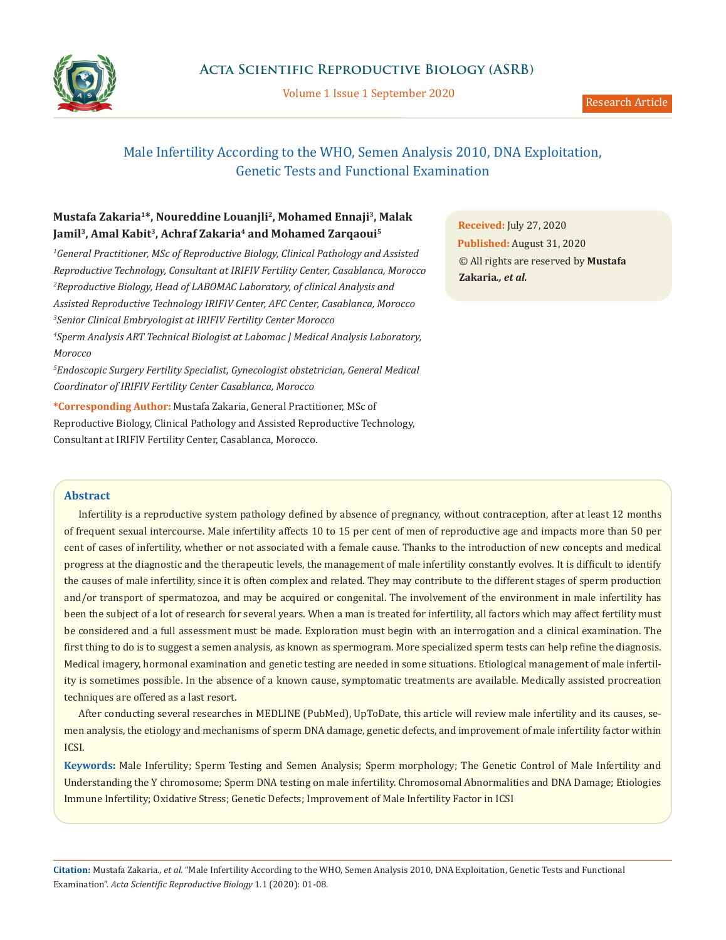

Volume 1 Issue 1 September 2020

# Male Infertility According to the WHO, Semen Analysis 2010, DNA Exploitation, Genetic Tests and Functional Examination

# **Mustafa Zakaria1\*, Noureddine Louanjli2, Mohamed Ennaji3, Malak**  Jamil<sup>3</sup>, Amal Kabit<sup>3</sup>, Achraf Zakaria<sup>4</sup> and Mohamed Zarqaoui<sup>5</sup>

*1 General Practitioner, MSc of Reproductive Biology, Clinical Pathology and Assisted Reproductive Technology, Consultant at IRIFIV Fertility Center, Casablanca, Morocco* <sup>2</sup> Reproductive Biology, Head of LABOMAC Laboratory, of clinical Analysis and *Assisted Reproductive Technology IRIFIV Center, AFC Center, Casablanca, Morocco 3 Senior Clinical Embryologist at IRIFIV Fertility Center Morocco 4 Sperm Analysis ART Technical Biologist at Labomac | Medical Analysis Laboratory, Morocco*

*5 Endoscopic Surgery Fertility Specialist, Gynecologist obstetrician, General Medical Coordinator of IRIFIV Fertility Center Casablanca, Morocco*

**\*Corresponding Author:** Mustafa Zakaria, General Practitioner, MSc of Reproductive Biology, Clinical Pathology and Assisted Reproductive Technology, Consultant at IRIFIV Fertility Center, Casablanca, Morocco.

**Received:** July 27, 2020 **Published:** August 31, 2020 © All rights are reserved by **Mustafa Zakaria***., et al.*

## **Abstract**

Infertility is a reproductive system pathology defined by absence of pregnancy, without contraception, after at least 12 months of frequent sexual intercourse. Male infertility affects 10 to 15 per cent of men of reproductive age and impacts more than 50 per cent of cases of infertility, whether or not associated with a female cause. Thanks to the introduction of new concepts and medical progress at the diagnostic and the therapeutic levels, the management of male infertility constantly evolves. It is difficult to identify the causes of male infertility, since it is often complex and related. They may contribute to the different stages of sperm production and/or transport of spermatozoa, and may be acquired or congenital. The involvement of the environment in male infertility has been the subject of a lot of research for several years. When a man is treated for infertility, all factors which may affect fertility must be considered and a full assessment must be made. Exploration must begin with an interrogation and a clinical examination. The first thing to do is to suggest a semen analysis, as known as spermogram. More specialized sperm tests can help refine the diagnosis. Medical imagery, hormonal examination and genetic testing are needed in some situations. Etiological management of male infertility is sometimes possible. In the absence of a known cause, symptomatic treatments are available. Medically assisted procreation techniques are offered as a last resort.

After conducting several researches in MEDLINE (PubMed), UpToDate, this article will review male infertility and its causes, semen analysis, the etiology and mechanisms of sperm DNA damage, genetic defects, and improvement of male infertility factor within ICSI.

**Keywords:** Male Infertility; Sperm Testing and Semen Analysis; Sperm morphology; The Genetic Control of Male Infertility and Understanding the Y chromosome; Sperm DNA testing on male infertility. Chromosomal Abnormalities and DNA Damage; Etiologies Immune Infertility; Oxidative Stress; Genetic Defects; Improvement of Male Infertility Factor in ICSI

**Citation:** Mustafa Zakaria*., et al.* "Male Infertility According to the WHO, Semen Analysis 2010, DNA Exploitation, Genetic Tests and Functional Examination". *Acta Scientific Reproductive Biology* 1.1 (2020): 01-08.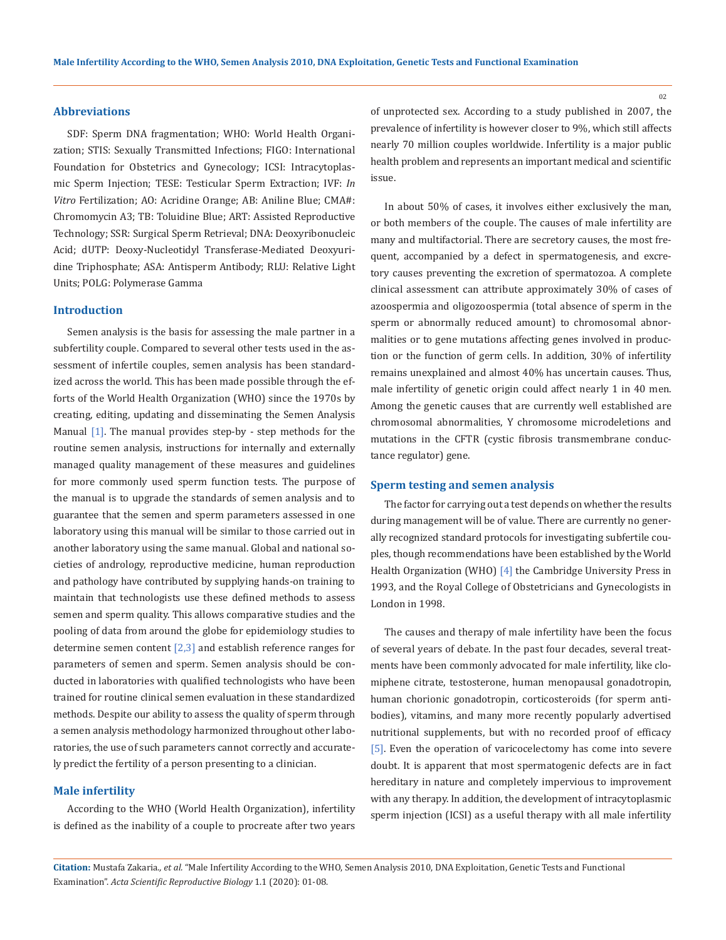### **Abbreviations**

SDF: Sperm DNA fragmentation; WHO: World Health Organization; STIS: [Sexually Transmitted Infections](https://www.figo.org/news/womens-health-newsfeed/stis); FIGO: International Foundation for Obstetrics and Gynecology; ICSI: Intracytoplasmic Sperm Injection; TESE: Testicular Sperm Extraction; IVF: *In Vitro* Fertilization; AO: Acridine Orange; AB: Aniline Blue; CMA#: Chromomycin A3; TB: Toluidine Blue; ART: Assisted Reproductive Technology; SSR: Surgical Sperm Retrieval; DNA: Deoxyribonucleic Acid; dUTP: Deoxy-Nucleotidyl Transferase-Mediated Deoxyuridine Triphosphate; ASA: Antisperm Antibody; RLU: Relative Light Units; POLG: Polymerase Gamma

### **Introduction**

Semen analysis is the basis for assessing the male partner in a subfertility couple. Compared to several other tests used in the assessment of infertile couples, semen analysis has been standardized across the world. This has been made possible through the efforts of the World Health Organization (WHO) since the 1970s by creating, editing, updating and disseminating the Semen Analysis Manual [1]. The manual provides step-by - step methods for the routine semen analysis, instructions for internally and externally managed quality management of these measures and guidelines for more commonly used sperm function tests. The purpose of the manual is to upgrade the standards of semen analysis and to guarantee that the semen and sperm parameters assessed in one laboratory using this manual will be similar to those carried out in another laboratory using the same manual. Global and national societies of andrology, reproductive medicine, human reproduction and pathology have contributed by supplying hands-on training to maintain that technologists use these defined methods to assess semen and sperm quality. This allows comparative studies and the pooling of data from around the globe for epidemiology studies to determine semen content  $[2,3]$  and establish reference ranges for parameters of semen and sperm. Semen analysis should be conducted in laboratories with qualified technologists who have been trained for routine clinical semen evaluation in these standardized methods. Despite our ability to assess the quality of sperm through a semen analysis methodology harmonized throughout other laboratories, the use of such parameters cannot correctly and accurately predict the fertility of a person presenting to a clinician.

## **Male infertility**

According to the WHO (World Health Organization), infertility is defined as the inability of a couple to procreate after two years

of unprotected sex. According to a study published in 2007, the prevalence of infertility is however closer to 9%, which still affects nearly 70 million couples worldwide. Infertility is a major public health problem and represents an important medical and scientific issue.

In about 50% of cases, it involves either exclusively the man, or both members of the couple. The causes of male infertility are many and multifactorial. There are secretory causes, the most frequent, accompanied by a defect in spermatogenesis, and excretory causes preventing the excretion of spermatozoa. A complete clinical assessment can attribute approximately 30% of cases of azoospermia and oligozoospermia (total absence of sperm in the sperm or abnormally reduced amount) to chromosomal abnormalities or to gene mutations affecting genes involved in production or the function of germ cells. In addition, 30% of infertility remains unexplained and almost 40% has uncertain causes. Thus, male infertility of genetic origin could affect nearly 1 in 40 men. Among the genetic causes that are currently well established are chromosomal abnormalities, Y chromosome microdeletions and mutations in the CFTR (cystic fibrosis transmembrane conductance regulator) gene.

### **Sperm testing and semen analysis**

The factor for carrying out a test depends on whether the results during management will be of value. There are currently no generally recognized standard protocols for investigating subfertile couples, though recommendations have been established by the World Health Organization (WHO) [4] the Cambridge University Press in 1993, and the Royal College of Obstetricians and Gynecologists in London in 1998.

The causes and therapy of male infertility have been the focus of several years of debate. In the past four decades, several treatments have been commonly advocated for male infertility, like clomiphene citrate, testosterone, human menopausal gonadotropin, human chorionic gonadotropin, corticosteroids (for sperm antibodies), vitamins, and many more recently popularly advertised nutritional supplements, but with no recorded proof of efficacy [5]. Even the operation of varicocelectomy has come into severe doubt. It is apparent that most spermatogenic defects are in fact hereditary in nature and completely impervious to improvement with any therapy. In addition, the development of intracytoplasmic sperm injection (ICSI) as a useful therapy with all male infertility

**Citation:** Mustafa Zakaria*., et al.* "Male Infertility According to the WHO, Semen Analysis 2010, DNA Exploitation, Genetic Tests and Functional Examination". *Acta Scientific Reproductive Biology* 1.1 (2020): 01-08.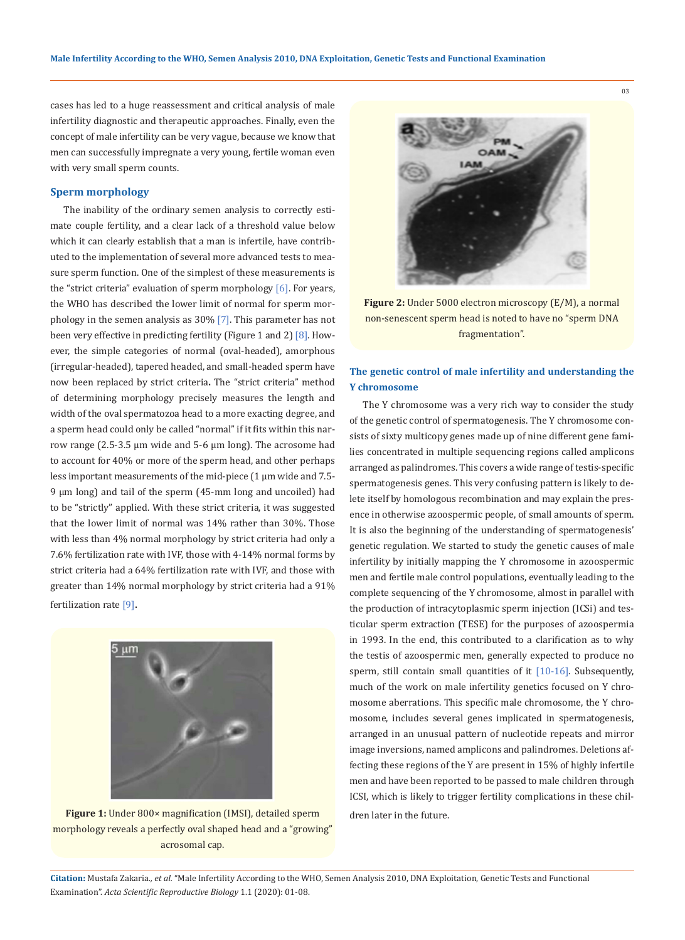cases has led to a huge reassessment and critical analysis of male infertility diagnostic and therapeutic approaches. Finally, even the concept of male infertility can be very vague, because we know that men can successfully impregnate a very young, fertile woman even with very small sperm counts.

## **Sperm morphology**

The inability of the ordinary semen analysis to correctly estimate couple fertility, and a clear lack of a threshold value below which it can clearly establish that a man is infertile, have contributed to the implementation of several more advanced tests to measure sperm function. One of the simplest of these measurements is the "strict criteria" evaluation of sperm morphology [6]. For years, the WHO has described the lower limit of normal for sperm morphology in the semen analysis as 30% [7]. This parameter has not been very effective in predicting fertility (Figure 1 and 2) [8]. However, the simple categories of normal (oval-headed), amorphous (irregular-headed), tapered headed, and small-headed sperm have now been replaced by strict criteria**.** The "strict criteria" method of determining morphology precisely measures the length and width of the oval spermatozoa head to a more exacting degree, and a sperm head could only be called "normal" if it fits within this narrow range (2.5-3.5 μm wide and 5-6 μm long). The acrosome had to account for 40% or more of the sperm head, and other perhaps less important measurements of the mid-piece (1 μm wide and 7.5- 9 μm long) and tail of the sperm (45-mm long and uncoiled) had to be "strictly" applied. With these strict criteria, it was suggested that the lower limit of normal was 14% rather than 30%. Those with less than 4% normal morphology by strict criteria had only a 7.6% fertilization rate with IVF, those with 4-14% normal forms by strict criteria had a 64% fertilization rate with IVF, and those with greater than 14% normal morphology by strict criteria had a 91% fertilization rate [9].



**Figure 1:** Under 800× magnification (IMSI), detailed sperm morphology reveals a perfectly oval shaped head and a "growing" acrosomal cap.



**Figure 2:** Under 5000 electron microscopy (E/M), a normal non-senescent sperm head is noted to have no "sperm DNA fragmentation".

## **The genetic control of male infertility and understanding the Y chromosome**

The Y chromosome was a very rich way to consider the study of the genetic control of spermatogenesis. The Y chromosome consists of sixty multicopy genes made up of nine different gene families concentrated in multiple sequencing regions called amplicons arranged as palindromes. This covers a wide range of testis-specific spermatogenesis genes. This very confusing pattern is likely to delete itself by homologous recombination and may explain the presence in otherwise azoospermic people, of small amounts of sperm. It is also the beginning of the understanding of spermatogenesis' genetic regulation. We started to study the genetic causes of male infertility by initially mapping the Y chromosome in azoospermic men and fertile male control populations, eventually leading to the complete sequencing of the Y chromosome, almost in parallel with the production of intracytoplasmic sperm injection (ICSi) and testicular sperm extraction (TESE) for the purposes of azoospermia in 1993. In the end, this contributed to a clarification as to why the testis of azoospermic men, generally expected to produce no sperm, still contain small quantities of it [10-16]. Subsequently, much of the work on male infertility genetics focused on Y chromosome aberrations. This specific male chromosome, the Y chromosome, includes several genes implicated in spermatogenesis, arranged in an unusual pattern of nucleotide repeats and mirror image inversions, named amplicons and palindromes. Deletions affecting these regions of the Y are present in 15% of highly infertile men and have been reported to be passed to male children through ICSI, which is likely to trigger fertility complications in these children later in the future.

**Citation:** Mustafa Zakaria*., et al.* "Male Infertility According to the WHO, Semen Analysis 2010, DNA Exploitation, Genetic Tests and Functional Examination". *Acta Scientific Reproductive Biology* 1.1 (2020): 01-08.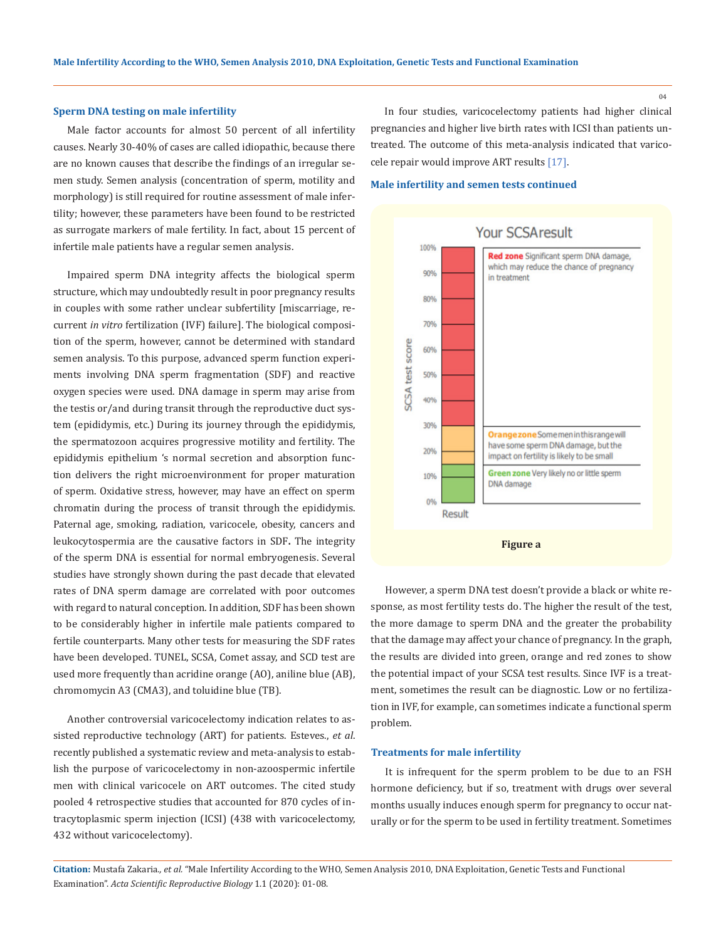### **Sperm DNA testing on male infertility**

Male factor accounts for almost 50 percent of all infertility causes. Nearly 30-40% of cases are called idiopathic, because there are no known causes that describe the findings of an irregular semen study. Semen analysis (concentration of sperm, motility and morphology) is still required for routine assessment of male infertility; however, these parameters have been found to be restricted as surrogate markers of male fertility. In fact, about 15 percent of infertile male patients have a regular semen analysis.

Impaired sperm DNA integrity affects the biological sperm structure, which may undoubtedly result in poor pregnancy results in couples with some rather unclear subfertility [miscarriage, recurrent *in vitro* fertilization (IVF) failure]. The biological composition of the sperm, however, cannot be determined with standard semen analysis. To this purpose, advanced sperm function experiments involving DNA sperm fragmentation (SDF) and reactive oxygen species were used. DNA damage in sperm may arise from the testis or/and during transit through the reproductive duct system (epididymis, etc.) During its journey through the epididymis, the spermatozoon acquires progressive motility and fertility. The epididymis epithelium 's normal secretion and absorption function delivers the right microenvironment for proper maturation of sperm. Oxidative stress, however, may have an effect on sperm chromatin during the process of transit through the epididymis. Paternal age, smoking, radiation, varicocele, obesity, cancers and leukocytospermia are the causative factors in SDF**.** The integrity of the sperm DNA is essential for normal embryogenesis. Several studies have strongly shown during the past decade that elevated rates of DNA sperm damage are correlated with poor outcomes with regard to natural conception. In addition, SDF has been shown to be considerably higher in infertile male patients compared to fertile counterparts. Many other tests for measuring the SDF rates have been developed. TUNEL, SCSA, Comet assay, and SCD test are used more frequently than acridine orange (AO), aniline blue (AB), chromomycin A3 (CMA3), and toluidine blue (TB).

Another controversial varicocelectomy indication relates to assisted reproductive technology (ART) for patients. Esteves., *et al*. recently published a systematic review and meta-analysis to establish the purpose of varicocelectomy in non-azoospermic infertile men with clinical varicocele on ART outcomes. The cited study pooled 4 retrospective studies that accounted for 870 cycles of intracytoplasmic sperm injection (ICSI) (438 with varicocelectomy, 432 without varicocelectomy).

In four studies, varicocelectomy patients had higher clinical pregnancies and higher live birth rates with ICSI than patients untreated. The outcome of this meta-analysis indicated that varicocele repair would improve ART results [17].

### **Male infertility and semen tests continued**



However, a sperm DNA test doesn't provide a black or white response, as most fertility tests do. The higher the result of the test, the more damage to sperm DNA and the greater the probability that the damage may affect your chance of pregnancy. In the graph, the results are divided into green, orange and red zones to show the potential impact of your SCSA test results. Since IVF is a treatment, sometimes the result can be diagnostic. Low or no fertilization in IVF, for example, can sometimes indicate a functional sperm problem.

#### **Treatments for male infertility**

It is infrequent for the sperm problem to be due to an FSH hormone deficiency, but if so, treatment with drugs over several months usually induces enough sperm for pregnancy to occur naturally or for the sperm to be used in fertility treatment. Sometimes

**Citation:** Mustafa Zakaria*., et al.* "Male Infertility According to the WHO, Semen Analysis 2010, DNA Exploitation, Genetic Tests and Functional Examination". *Acta Scientific Reproductive Biology* 1.1 (2020): 01-08.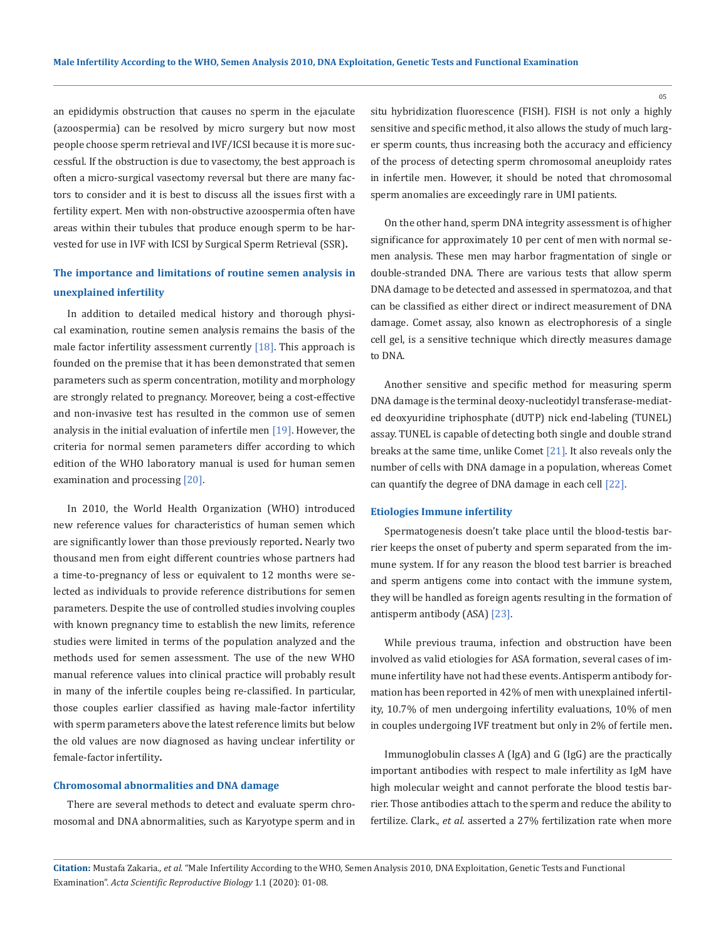an epididymis obstruction that causes no sperm in the ejaculate (azoospermia) can be resolved by micro surgery but now most people choose sperm retrieval and IVF/ICSI because it is more successful. If the obstruction is due to vasectomy, the best approach is often a micro-surgical vasectomy reversal but there are many factors to consider and it is best to discuss all the issues first with a fertility expert. Men with non-obstructive azoospermia often have areas within their tubules that produce enough sperm to be harvested for use in IVF with ICSI by Surgical Sperm Retrieval (SSR)**.**

# **The importance and limitations of routine semen analysis in unexplained infertility**

In addition to detailed medical history and thorough physical examination, routine semen analysis remains the basis of the male factor infertility assessment currently [18]. This approach is founded on the premise that it has been demonstrated that semen parameters such as sperm concentration, motility and morphology are strongly related to pregnancy. Moreover, being a cost-effective and non-invasive test has resulted in the common use of semen analysis in the initial evaluation of infertile men [19]. However, the criteria for normal semen parameters differ according to which edition of the WHO laboratory manual is used for human semen examination and processing [20].

In 2010, the World Health Organization (WHO) introduced new reference values for characteristics of human semen which are significantly lower than those previously reported**.** Nearly two thousand men from eight different countries whose partners had a time-to-pregnancy of less or equivalent to 12 months were selected as individuals to provide reference distributions for semen parameters. Despite the use of controlled studies involving couples with known pregnancy time to establish the new limits, reference studies were limited in terms of the population analyzed and the methods used for semen assessment. The use of the new WHO manual reference values into clinical practice will probably result in many of the infertile couples being re-classified. In particular, those couples earlier classified as having male-factor infertility with sperm parameters above the latest reference limits but below the old values are now diagnosed as having unclear infertility or female-factor infertility**.**

#### **Chromosomal abnormalities and DNA damage**

There are several methods to detect and evaluate sperm chromosomal and DNA abnormalities, such as Karyotype sperm and in situ hybridization fluorescence (FISH). FISH is not only a highly sensitive and specific method, it also allows the study of much larger sperm counts, thus increasing both the accuracy and efficiency of the process of detecting sperm chromosomal aneuploidy rates in infertile men. However, it should be noted that chromosomal sperm anomalies are exceedingly rare in UMI patients.

On the other hand, sperm DNA integrity assessment is of higher significance for approximately 10 per cent of men with normal semen analysis. These men may harbor fragmentation of single or double-stranded DNA. There are various tests that allow sperm DNA damage to be detected and assessed in spermatozoa, and that can be classified as either direct or indirect measurement of DNA damage. Comet assay, also known as electrophoresis of a single cell gel, is a sensitive technique which directly measures damage to DNA.

Another sensitive and specific method for measuring sperm DNA damage is the terminal deoxy-nucleotidyl transferase-mediated deoxyuridine triphosphate (dUTP) nick end-labeling (TUNEL) assay. TUNEL is capable of detecting both single and double strand breaks at the same time, unlike Comet [21]. It also reveals only the number of cells with DNA damage in a population, whereas Comet can quantify the degree of DNA damage in each cell [22].

### **Etiologies Immune infertility**

Spermatogenesis doesn't take place until the blood-testis barrier keeps the onset of puberty and sperm separated from the immune system. If for any reason the blood test barrier is breached and sperm antigens come into contact with the immune system, they will be handled as foreign agents resulting in the formation of antisperm antibody (ASA) [23].

While previous trauma, infection and obstruction have been involved as valid etiologies for ASA formation, several cases of immune infertility have not had these events. Antisperm antibody formation has been reported in 42% of men with unexplained infertility, 10.7% of men undergoing infertility evaluations, 10% of men in couples undergoing IVF treatment but only in 2% of fertile men**.**

Immunoglobulin classes A (IgA) and G (IgG) are the practically important antibodies with respect to male infertility as IgM have high molecular weight and cannot perforate the blood testis barrier. Those antibodies attach to the sperm and reduce the ability to fertilize. Clark., *et al*. asserted a 27% fertilization rate when more

**Citation:** Mustafa Zakaria*., et al.* "Male Infertility According to the WHO, Semen Analysis 2010, DNA Exploitation, Genetic Tests and Functional Examination". *Acta Scientific Reproductive Biology* 1.1 (2020): 01-08.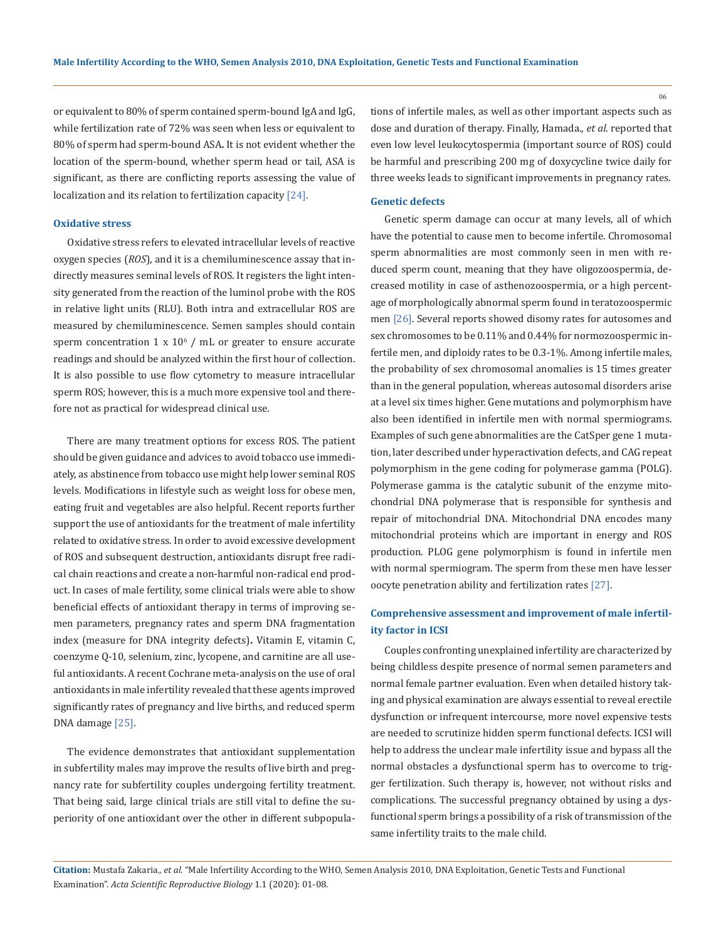or equivalent to 80% of sperm contained sperm-bound IgA and IgG, while fertilization rate of 72% was seen when less or equivalent to 80% of sperm had sperm-bound ASA**.** It is not evident whether the location of the sperm-bound, whether sperm head or tail, ASA is significant, as there are conflicting reports assessing the value of localization and its relation to fertilization capacity [24].

### **Oxidative stress**

Oxidative stress refers to elevated intracellular levels of reactive oxygen species (*ROS*), and it is a chemiluminescence assay that indirectly measures seminal levels of ROS. It registers the light intensity generated from the reaction of the luminol probe with the ROS in relative light units (RLU). Both intra and extracellular ROS are measured by chemiluminescence. Semen samples should contain sperm concentration  $1 \times 10^6$  / mL or greater to ensure accurate readings and should be analyzed within the first hour of collection. It is also possible to use flow cytometry to measure intracellular sperm ROS; however, this is a much more expensive tool and therefore not as practical for widespread clinical use.

There are many treatment options for excess ROS. The patient should be given guidance and advices to avoid tobacco use immediately, as abstinence from tobacco use might help lower seminal ROS levels. Modifications in lifestyle such as weight loss for obese men, eating fruit and vegetables are also helpful. Recent reports further support the use of antioxidants for the treatment of male infertility related to oxidative stress. In order to avoid excessive development of ROS and subsequent destruction, antioxidants disrupt free radical chain reactions and create a non-harmful non-radical end product. In cases of male fertility, some clinical trials were able to show beneficial effects of antioxidant therapy in terms of improving semen parameters, pregnancy rates and sperm DNA fragmentation index (measure for DNA integrity defects)**.** Vitamin E, vitamin C, coenzyme Q-10, selenium, zinc, lycopene, and carnitine are all useful antioxidants. A recent Cochrane meta-analysis on the use of oral antioxidants in male infertility revealed that these agents improved significantly rates of pregnancy and live births, and reduced sperm DNA damage [25].

The evidence demonstrates that antioxidant supplementation in subfertility males may improve the results of live birth and pregnancy rate for subfertility couples undergoing fertility treatment. That being said, large clinical trials are still vital to define the superiority of one antioxidant over the other in different subpopulations of infertile males, as well as other important aspects such as dose and duration of therapy. Finally, Hamada., *et al*. reported that even low level leukocytospermia (important source of ROS) could be harmful and prescribing 200 mg of doxycycline twice daily for three weeks leads to significant improvements in pregnancy rates.

### **Genetic defects**

Genetic sperm damage can occur at many levels, all of which have the potential to cause men to become infertile. Chromosomal sperm abnormalities are most commonly seen in men with reduced sperm count, meaning that they have oligozoospermia, decreased motility in case of asthenozoospermia, or a high percentage of morphologically abnormal sperm found in teratozoospermic men [26]. Several reports showed disomy rates for autosomes and sex chromosomes to be 0.11% and 0.44% for normozoospermic infertile men, and diploidy rates to be 0.3-1%. Among infertile males, the probability of sex chromosomal anomalies is 15 times greater than in the general population, whereas autosomal disorders arise at a level six times higher. Gene mutations and polymorphism have also been identified in infertile men with normal spermiograms. Examples of such gene abnormalities are the CatSper gene 1 mutation, later described under hyperactivation defects, and CAG repeat polymorphism in the gene coding for polymerase gamma (POLG). Polymerase gamma is the catalytic subunit of the enzyme mitochondrial DNA polymerase that is responsible for synthesis and repair of mitochondrial DNA. Mitochondrial DNA encodes many mitochondrial proteins which are important in energy and ROS production. PLOG gene polymorphism is found in infertile men with normal spermiogram. The sperm from these men have lesser oocyte penetration ability and fertilization rates [27].

## **Comprehensive assessment and improvement of male infertility factor in ICSI**

Couples confronting unexplained infertility are characterized by being childless despite presence of normal semen parameters and normal female partner evaluation. Even when detailed history taking and physical examination are always essential to reveal erectile dysfunction or infrequent intercourse, more novel expensive tests are needed to scrutinize hidden sperm functional defects. ICSI will help to address the unclear male infertility issue and bypass all the normal obstacles a dysfunctional sperm has to overcome to trigger fertilization. Such therapy is, however, not without risks and complications. The successful pregnancy obtained by using a dysfunctional sperm brings a possibility of a risk of transmission of the same infertility traits to the male child.

**Citation:** Mustafa Zakaria*., et al.* "Male Infertility According to the WHO, Semen Analysis 2010, DNA Exploitation, Genetic Tests and Functional Examination". *Acta Scientific Reproductive Biology* 1.1 (2020): 01-08.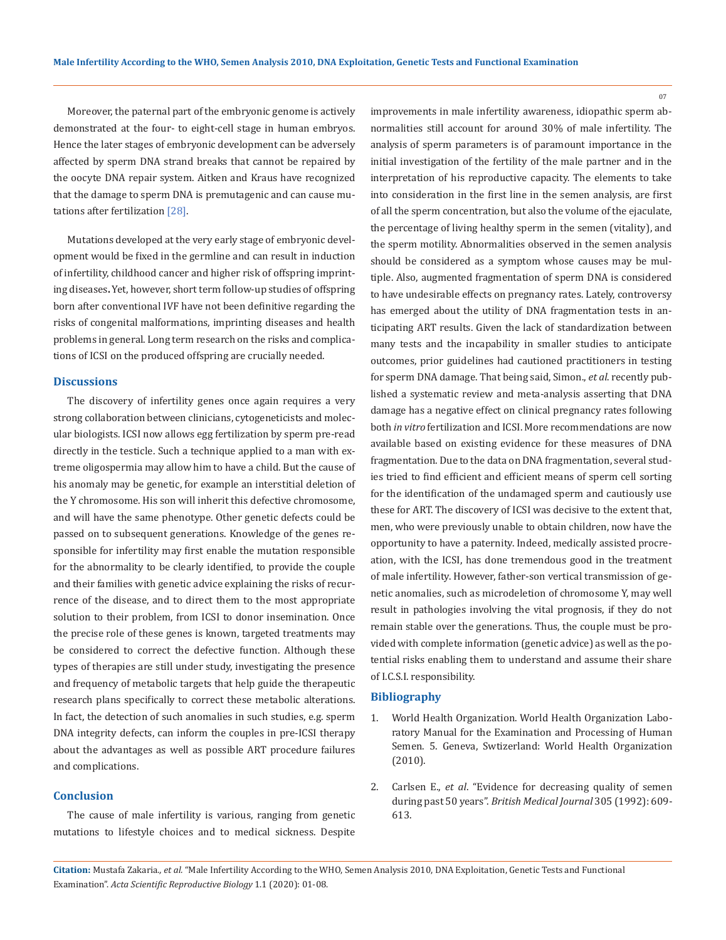Moreover, the paternal part of the embryonic genome is actively demonstrated at the four- to eight-cell stage in human embryos. Hence the later stages of embryonic development can be adversely affected by sperm DNA strand breaks that cannot be repaired by the oocyte DNA repair system. Aitken and Kraus have recognized that the damage to sperm DNA is premutagenic and can cause mutations after fertilization [28].

Mutations developed at the very early stage of embryonic development would be fixed in the germline and can result in induction of infertility, childhood cancer and higher risk of offspring imprinting diseases**.** Yet, however, short term follow-up studies of offspring born after conventional IVF have not been definitive regarding the risks of congenital malformations, imprinting diseases and health problems in general. Long term research on the risks and complications of ICSI on the produced offspring are crucially needed.

### **Discussions**

The discovery of infertility genes once again requires a very strong collaboration between clinicians, cytogeneticists and molecular biologists. ICSI now allows egg fertilization by sperm pre-read directly in the testicle. Such a technique applied to a man with extreme oligospermia may allow him to have a child. But the cause of his anomaly may be genetic, for example an interstitial deletion of the Y chromosome. His son will inherit this defective chromosome, and will have the same phenotype. Other genetic defects could be passed on to subsequent generations. Knowledge of the genes responsible for infertility may first enable the mutation responsible for the abnormality to be clearly identified, to provide the couple and their families with genetic advice explaining the risks of recurrence of the disease, and to direct them to the most appropriate solution to their problem, from ICSI to donor insemination. Once the precise role of these genes is known, targeted treatments may be considered to correct the defective function. Although these types of therapies are still under study, investigating the presence and frequency of metabolic targets that help guide the therapeutic research plans specifically to correct these metabolic alterations. In fact, the detection of such anomalies in such studies, e.g. sperm DNA integrity defects, can inform the couples in pre-ICSI therapy about the advantages as well as possible ART procedure failures and complications.

## **Conclusion**

The cause of male infertility is various, ranging from genetic mutations to lifestyle choices and to medical sickness. Despite improvements in male infertility awareness, idiopathic sperm abnormalities still account for around 30% of male infertility. The analysis of sperm parameters is of paramount importance in the initial investigation of the fertility of the male partner and in the interpretation of his reproductive capacity. The elements to take into consideration in the first line in the semen analysis, are first of all the sperm concentration, but also the volume of the ejaculate, the percentage of living healthy sperm in the semen (vitality), and the sperm motility. Abnormalities observed in the semen analysis should be considered as a symptom whose causes may be multiple. Also, augmented fragmentation of sperm DNA is considered to have undesirable effects on pregnancy rates. Lately, controversy has emerged about the utility of DNA fragmentation tests in anticipating ART results. Given the lack of standardization between many tests and the incapability in smaller studies to anticipate outcomes, prior guidelines had cautioned practitioners in testing for sperm DNA damage. That being said, Simon., *et al*. recently published a systematic review and meta-analysis asserting that DNA damage has a negative effect on clinical pregnancy rates following both *in vitro* fertilization and ICSI. More recommendations are now available based on existing evidence for these measures of DNA fragmentation. Due to the data on DNA fragmentation, several studies tried to find efficient and efficient means of sperm cell sorting for the identification of the undamaged sperm and cautiously use these for ART. The discovery of ICSI was decisive to the extent that, men, who were previously unable to obtain children, now have the opportunity to have a paternity. Indeed, medically assisted procreation, with the ICSI, has done tremendous good in the treatment of male infertility. However, father-son vertical transmission of genetic anomalies, such as microdeletion of chromosome Y, may well result in pathologies involving the vital prognosis, if they do not remain stable over the generations. Thus, the couple must be provided with complete information (genetic advice) as well as the potential risks enabling them to understand and assume their share of I.C.S.I. responsibility.

### **Bibliography**

- 1. World Health Organization. World Health Organization Laboratory Manual for the Examination and Processing of Human Semen. 5. Geneva, Swtizerland: World Health Organization (2010).
- 2. Carlsen E., *et al*[. "Evidence for decreasing quality of semen](https://www.ncbi.nlm.nih.gov/pmc/articles/PMC1883354/) during past 50 years". *[British Medical Journal](https://www.ncbi.nlm.nih.gov/pmc/articles/PMC1883354/)* 305 (1992): 609- [613.](https://www.ncbi.nlm.nih.gov/pmc/articles/PMC1883354/)

**Citation:** Mustafa Zakaria*., et al.* "Male Infertility According to the WHO, Semen Analysis 2010, DNA Exploitation, Genetic Tests and Functional Examination". *Acta Scientific Reproductive Biology* 1.1 (2020): 01-08.